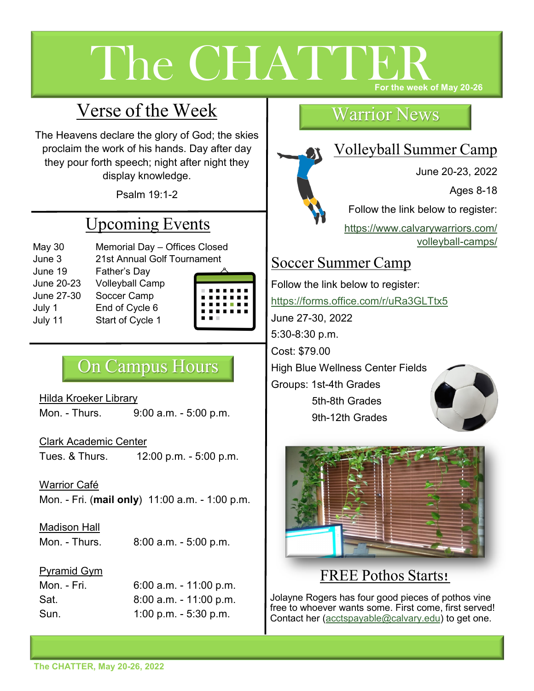# The CHATTEI **For the week of May 20-26**

# Verse of the Week

The Heavens declare the glory of God; the skies proclaim the work of his hands. Day after day they pour forth speech; night after night they display knowledge.

Psalm 19:1-2

# Upcoming Events

- May 30 Memorial Day Offices Closed June 3 21st Annual Golf Tournament
- June 19 Father's Day June 20-23 Volleyball Camp June 27-30 Soccer Camp July 1 End of Cycle 6



# On Campus Hours

Hilda Kroeker Library Mon. - Thurs. 9:00 a.m. - 5:00 p.m.

Clark Academic Center Tues. & Thurs. 12:00 p.m. - 5:00 p.m.

Warrior Café Mon. - Fri. (**mail only**) 11:00 a.m. - 1:00 p.m.

### Madison Hall

Mon. - Thurs. 8:00 a.m. - 5:00 p.m.

### Pyramid Gym

Mon. - Fri. 6:00 a.m. - 11:00 p.m. Sat. 8:00 a.m. - 11:00 p.m. Sun. 1:00 p.m. - 5:30 p.m.

### Warrior News

# Volleyball Summer Camp

June 20-23, 2022 Ages 8-18 Follow the link below to register: [https://www.calvarywarriors.com/](https://www.calvarywarriors.com/volleyball-camps/) [volleyball](https://www.calvarywarriors.com/volleyball-camps/)-camps/

### Soccer Summer Camp

Follow the link below to register: <https://forms.office.com/r/uRa3GLTtx5> June 27-30, 2022 5:30-8:30 p.m. Cost: \$79.00 High Blue Wellness Center Fields Groups: 1st-4th Grades 5th-8th Grades 9th-12th Grades



## FREE Pothos Starts!

Jolayne Rogers has four good pieces of pothos vine free to whoever wants some. First come, first served! Contact her ([acctspayable@calvary.edu\)](mailto:acctspayable@calvary.edu?subject=Free%20Pothos%20Start) to get one.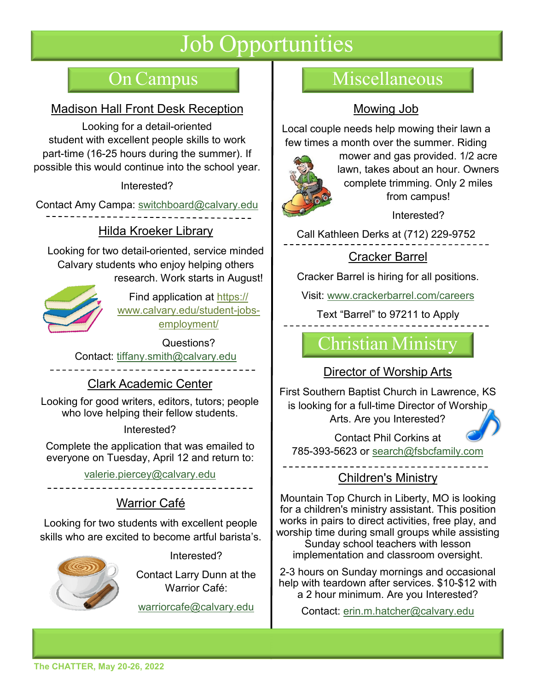# Job Opportunities

### Madison Hall Front Desk Reception

Looking for a detail-oriented student with excellent people skills to work part-time (16-25 hours during the summer). If possible this would continue into the school year.

### Interested?

Contact Amy Campa: [switchboard@calvary.edu](mailto:switchboard@calvary.edu?subject=Front%20Desk%20Position)

### Hilda Kroeker Library

Looking for two detail-oriented, service minded Calvary students who enjoy helping others research. Work starts in August!



Find application at [https://](https://www.calvary.edu/student-jobs-employment/) [www.calvary.edu/student](https://www.calvary.edu/student-jobs-employment/)-jobs[employment/](https://www.calvary.edu/student-jobs-employment/)

Questions? Contact: [tiffany.smith@calvary.edu](mailto:tiffany.smith@calvary.edu?subject=Library%20Student%20Staff%20Position)

### Clark Academic Center

Looking for good writers, editors, tutors; people who love helping their fellow students.

### Interested?

Complete the application that was emailed to everyone on Tuesday, April 12 and return to:

[valerie.piercey@calvary.edu](mailto:valerie.piercey@calvary.edu?subject=CAC%20Student%20Staff%20Position)

### Warrior Café

Looking for two students with excellent people skills who are excited to become artful barista's.



Interested?

Contact Larry Dunn at the Warrior Café:

[warriorcafe@calvary.edu](mailto:warriorcafe@calvary.edu?subject=Student%20Barista%20Position)

# On Campus Miscellaneous

### Mowing Job

Local couple needs help mowing their lawn a few times a month over the summer. Riding



mower and gas provided. 1/2 acre lawn, takes about an hour. Owners complete trimming. Only 2 miles from campus!

Interested?

Call Kathleen Derks at (712) 229-9752

### Cracker Barrel

Cracker Barrel is hiring for all positions.

Visit: [www.crackerbarrel.com/careers](http://www.crackerbarrel.com/careers)

Text "Barrel" to 97211 to Apply

# Christian Ministry

### Director of Worship Arts

First Southern Baptist Church in Lawrence, KS is looking for a full-time Director of Worship Arts. Are you Interested?

Contact Phil Corkins at 785-393-5623 or [search@fsbcfamily.com](mailto:search@fsbcfamily.com?subject=Director%20of%20Worship%20Arts%20)

### Children's Ministry

Mountain Top Church in Liberty, MO is looking for a children's ministry assistant. This position works in pairs to direct activities, free play, and worship time during small groups while assisting Sunday school teachers with lesson

implementation and classroom oversight.

2-3 hours on Sunday mornings and occasional help with teardown after services. \$10-\$12 with a 2 hour minimum. Are you Interested?

Contact: [erin.m.hatcher@calvary.edu](mailto:erin.m.hatcher@calvary.edu?subject=Children)

**The CHATTER, May 20-26, 2022**